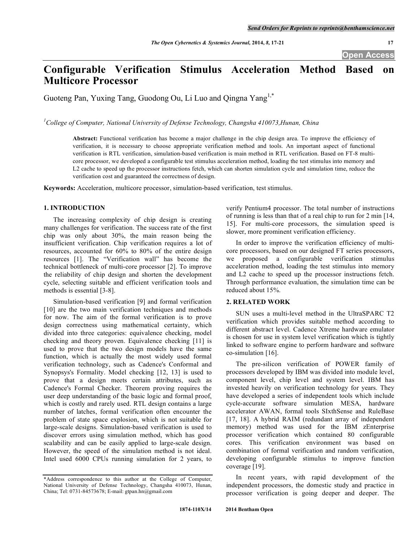# **Configurable Verification Stimulus Acceleration Method Based on Multicore Processor**

Guoteng Pan, Yuxing Tang, Guodong Ou, Li Luo and Qingna Yang<sup>1,\*</sup>

*1 College of Computer, National University of Defense Technology, Changsha 410073,Hunan, China*

**Abstract:** Functional verification has become a major challenge in the chip design area. To improve the efficiency of verification, it is necessary to choose appropriate verification method and tools. An important aspect of functional verification is RTL verification, simulation-based verification is main method in RTL verification. Based on FT-8 multicore processor, we developed a configurable test stimulus acceleration method, loading the test stimulus into memory and L2 cache to speed up the processor instructions fetch, which can shorten simulation cycle and simulation time, reduce the verification cost and guaranteed the correctness of design.

**Keywords:** Acceleration, multicore processor, simulation-based verification, test stimulus.

## **1. INTRODUCTION**

The increasing complexity of chip design is creating many challenges for verification. The success rate of the first chip was only about 30%, the main reason being the insufficient verification. Chip verification requires a lot of resources, accounted for 60% to 80% of the entire design resources [1]. The "Verification wall" has become the technical bottleneck of multi-core processor [2]. To improve the reliability of chip design and shorten the development cycle, selecting suitable and efficient verification tools and methods is essential [3-8].

Simulation-based verification [9] and formal verification [10] are the two main verification techniques and methods for now. The aim of the formal verification is to prove design correctness using mathematical certainty, which divided into three categories: equivalence checking, model checking and theory proven. Equivalence checking [11] is used to prove that the two design models have the same function, which is actually the most widely used formal verification technology, such as Cadence's Conformal and Synopsys's Formality. Model checking [12, 13] is used to prove that a design meets certain attributes, such as Cadence's Formal Checker. Theorem proving requires the user deep understanding of the basic logic and formal proof, which is costly and rarely used. RTL design contains a large number of latches, formal verification often encounter the problem of state space explosion, which is not suitable for large-scale designs. Simulation-based verification is used to discover errors using simulation method, which has good scalability and can be easily applied to large-scale design. However, the speed of the simulation method is not ideal. Intel used 6000 CPUs running simulation for 2 years, to

verify Pentium4 processor. The total number of instructions of running is less than that of a real chip to run for 2 min [14, 15]. For multi-core processors, the simulation speed is slower, more prominent verification efficiency.

In order to improve the verification efficiency of multicore processors, based on our designed FT series processors, we proposed a configurable verification stimulus acceleration method, loading the test stimulus into memory and L2 cache to speed up the processor instructions fetch. Through performance evaluation, the simulation time can be reduced about 15%.

## **2. RELATED WORK**

SUN uses a multi-level method in the UltraSPARC T2 verification which provides suitable method according to different abstract level. Cadence Xtreme hardware emulator is chosen for use in system level verification which is tightly linked to software engine to perform hardware and software co-simulation [16].

The pre-silicon verification of POWER family of processors developed by IBM was divided into module level, component level, chip level and system level. IBM has invested heavily on verification technology for years. They have developed a series of independent tools which include cycle-accurate software simulation MESA, hardware accelerator AWAN, formal tools SIxthSense and RuleBase [17, 18]. A hybrid RAIM (redundant array of independent memory) method was used for the IBM zEnterprise processor verification which contained 80 configurable cores. This verification environment was based on combination of formal verification and random verification, developing configurable stimulus to improve function coverage [19].

In recent years, with rapid development of the independent processors, the domestic study and practice in processor verification is going deeper and deeper. The

<sup>\*</sup>Address correspondence to this author at the College of Computer, National University of Defense Technology, Changsha 410073, Hunan, China; Tel: 0731-84573678; E-mail: gtpan.hn@gmail.com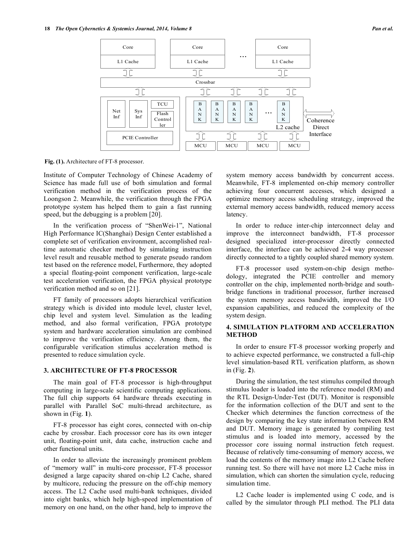

**Fig. (1).** Architecture of FT-8 processor.

Institute of Computer Technology of Chinese Academy of Science has made full use of both simulation and formal verification method in the verification process of the Loongson 2. Meanwhile, the verification through the FPGA prototype system has helped them to gain a fast running speed, but the debugging is a problem [20].

In the verification process of "ShenWei-1", National High Performance IC(Shanghai) Design Center established a complete set of verification environment, accomplished realtime automatic checker method by simulating instruction level result and reusable method to generate pseudo random test based on the reference model, Furthermore, they adopted a special floating-point component verification, large-scale test acceleration verification, the FPGA physical prototype verification method and so on [21].

FT family of processors adopts hierarchical verification strategy which is divided into module level, cluster level, chip level and system level. Simulation as the leading method, and also formal verification, FPGA prototype system and hardware acceleration simulation are combined to improve the verification efficiency. Among them, the configurable verification stimulus acceleration method is presented to reduce simulation cycle.

#### **3. ARCHITECTURE OF FT-8 PROCESSOR**

The main goal of FT-8 processor is high-throughput computing in large-scale scientific computing applications. The full chip supports 64 hardware threads executing in parallel with Parallel SoC multi-thread architecture, as shown in (Fig. **1**).

FT-8 processor has eight cores, connected with on-chip cache by crossbar. Each processor core has its own integer unit, floating-point unit, data cache, instruction cache and other functional units.

In order to alleviate the increasingly prominent problem of "memory wall" in multi-core processor, FT-8 processor designed a large capacity shared on-chip L2 Cache, shared by multicore, reducing the pressure on the off-chip memory access. The L2 Cache used multi-bank techniques, divided into eight banks, which help high-speed implementation of memory on one hand, on the other hand, help to improve the

system memory access bandwidth by concurrent access. Meanwhile, FT-8 implemented on-chip memory controller achieving four concurrent accesses, which designed a optimize memory access scheduling strategy, improved the external memory access bandwidth, reduced memory access latency.

In order to reduce inter-chip interconnect delay and improve the interconnect bandwidth, FT-8 processor designed specialized inter-processor directly connected interface, the interface can be achieved 2-4 way processor directly connected to a tightly coupled shared memory system.

FT-8 processor used system-on-chip design methodology, integrated the PCIE controller and memory controller on the chip, implemented north-bridge and southbridge functions in traditional processor, further increased the system memory access bandwidth, improved the I/O expansion capabilities, and reduced the complexity of the system design.

# **4. SIMULATION PLATFORM AND ACCELERATION METHOD**

In order to ensure FT-8 processor working properly and to achieve expected performance, we constructed a full-chip level simulation-based RTL verification platform, as shown in (Fig. **2**).

During the simulation, the test stimulus compiled through stimulus loader is loaded into the reference model (RM) and the RTL Design-Under-Test (DUT). Monitor is responsible for the information collection of the DUT and sent to the Checker which determines the function correctness of the design by comparing the key state information between RM and DUT. Memory image is generated by compiling test stimulus and is loaded into memory, accessed by the processor core issuing normal instruction fetch request. Because of relatively time-consuming of memory access, we load the contents of the memory image into L2 Cache before running test. So there will have not more L2 Cache miss in simulation, which can shorten the simulation cycle, reducing simulation time.

L2 Cache loader is implemented using C code, and is called by the simulator through PLI method. The PLI data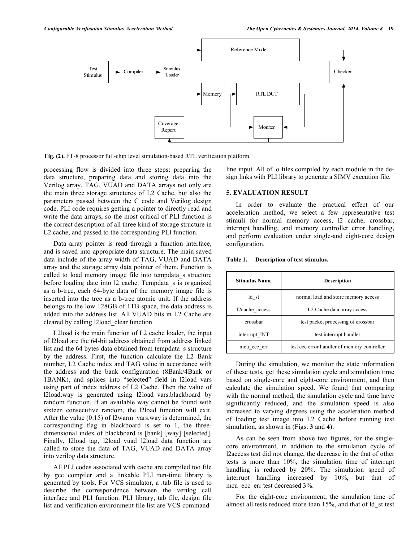

**Fig. (2).** FT-8 processor full-chip level simulation-based RTL verification platform.

processing flow is divided into three steps: preparing the data structure, preparing data and storing data into the Verilog array. TAG, VUAD and DATA arrays not only are the main three storage structures of L2 Cache, but also the parameters passed between the C code and Verilog design code. PLI code requires getting a pointer to directly read and write the data arrays, so the most critical of PLI function is the correct description of all three kind of storage structure in L2 cache, and passed to the corresponding PLI function.

Data array pointer is read through a function interface, and is saved into appropriate data structure. The main saved data include of the array width of TAG, VUAD and DATA array and the storage array data pointer of them. Function is called to load memory image file into tempdata\_s structure before loading date into l2 cache. Tempdata\_s is organized as a b-tree, each 64-byte data of the memory image file is inserted into the tree as a b-tree atomic unit. If the address belongs to the low 128GB of 1TB space, the data address is added into the address list. All VUAD bits in L2 Cache are cleared by calling l2load\_clear function.

L2load is the main function of L2 cache loader, the input of l2load are the 64-bit address obtained from address linked list and the 64 bytes data obtained from tempdata\_s structure by the address. First, the function calculate the L2 Bank number, L2 Cache index and TAG value in accordance with the address and the bank configuration (8Bank/4Bank or 1BANK), and splices into "selected" field in l2load\_vars using part of index address of L2 Cache. Then the value of l2load.way is generated using l2load\_vars.blackboard by random function. If an available way cannot be found with sixteen consecutive random, the l2load function will exit. After the value  $(0.15)$  of l2warm vars.way is determined, the corresponding flag in blackboard is set to 1, the threedimensional index of blackboard is [bank] [way] [selected]. Finally, l2load tag, l2load vuad l2load data function are called to store the data of TAG, VUAD and DATA array into verilog data structure.

All PLI codes associated with cache are compiled too file by gcc compiler and a linkable PLI run-time library is generated by tools. For VCS simulator, a .tab file is used to describe the correspondence between the verilog call interface and PLI function. PLI library, tab file, design file list and verification environment file list are VCS commandline input. All of .o files compiled by each module in the design links with PLI library to generate a SIMV execution file.

## **5. EVALUATION RESULT**

In order to evaluate the practical effect of our acceleration method, we select a few representative test stimuli for normal memory access, l2 cache, crossbar, interrupt handling, and memory controller error handling, and perform evaluation under single-and eight-core design configuration.

| Table 1. | Description of test stimulus. |  |  |
|----------|-------------------------------|--|--|
|----------|-------------------------------|--|--|

| <b>Stimulus Name</b> | <b>Description</b>                          |  |
|----------------------|---------------------------------------------|--|
| ld st                | normal load and store memory access         |  |
| l2cache access       | L <sub>2</sub> Cache data array access      |  |
| crossbar             | test packet processing of crossbar          |  |
| interrupt INT        | test interrupt handler                      |  |
| mcu ecc err          | test ecc error handler of memory controller |  |

During the simulation, we monitor the state information of these tests, get these simulation cycle and simulation time based on single-core and eight-core environment, and then calculate the simulation speed. We found that comparing with the normal method, the simulation cycle and time have significantly reduced, and the simulation speed is also increased to varying degrees using the acceleration method of loading test image into L2 Cache before running test simulation, as shown in (Figs. **3** and **4**).

As can be seen from above two figures, for the singlecore environment, in addition to the simulation cycle of l2access test did not change, the decrease in the that of other tests is more than 10%, the simulation time of interrupt handling is reduced by 20%. The simulation speed of interrupt handling increased by 10%, but that of mcu ecc err test decreased 3%.

For the eight-core environment, the simulation time of almost all tests reduced more than 15%, and that of ld\_st test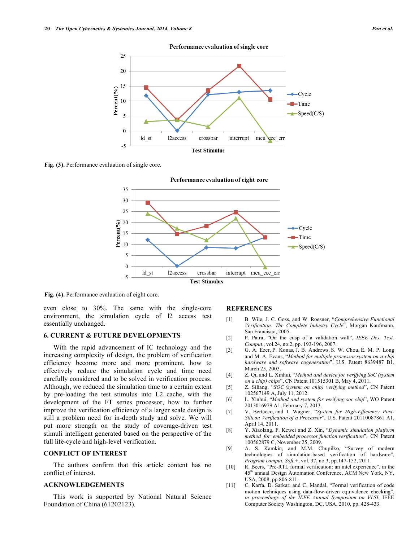

**Fig. (3).** Performance evaluation of single core.



**Fig. (4).** Performance evaluation of eight core.

even close to 30%. The same with the single-core environment, the simulation cycle of l2 access test essentially unchanged.

#### **6. CURRENT & FUTURE DEVELOPMENTS**

With the rapid advancement of IC technology and the increasing complexity of design, the problem of verification efficiency become more and more prominent, how to effectively reduce the simulation cycle and time need carefully considered and to be solved in verification process. Although, we reduced the simulation time to a certain extent by pre-loading the test stimulus into L2 cache, with the development of the FT series processor, how to further improve the verification efficiency of a larger scale design is still a problem need for in-depth study and solve. We will put more strength on the study of coverage-driven test stimuli intelligent generated based on the perspective of the full life-cycle and high-level verification.

### **CONFLICT OF INTEREST**

The authors confirm that this article content has no conflict of interest.

### **ACKNOWLEDGEMENTS**

This work is supported by National Natural Science Foundation of China (61202123).

#### **REFERENCES**

- [1] B. Wile, J. C. Goss, and W. Roesner, "*Comprehensive Functional Verification: The Complete Industry Cycle*", Morgan Kaufmann, San Francisco, 2005.
- [2] P. Patra, "On the cusp of a validation wall", *IEEE Des. Test. Comput*., vol.24, no.2, pp. 193-196, 2007.
- [3] G. A. Ezer, P. Konas, J. B. Andrews, S. W. Chou, E. M. P. Long and M. A. Evans, "*Method for multiple processor system-on-a-chip hardware and software cogeneration*", U.S. Patent 8639487 B1, March 25, 2003.
- [4] Z. Qi, and L. Xinhui, "*Method and device for verifying SoC (system on a chip) chips*", CN Patent 101515301 B, May 4, 2011.
- [5] Z. Siliang, "*SOC (system on chip) verifying method*", CN Patent 102567149 A, July 11, 2012.
- [6] L. Xinhui, "*Method and system for verifying soc chip*", WO Patent 2013016979 A1, February 7, 2013.
- [7] V. Bertacco, and I. Wagner, "*System for High-Efficiency Post-Silicon Verification of a Processor*", U.S. Patent 20110087861 A1, April 14, 2011.
- [8] Y. Xiaolang, F. Kewei and Z. Xin, "*Dynamic simulation platform method for embedded processor function verification*", CN Patent 100562879 C, November 25, 2009.
- [9] A. S. Kamkin, and M.M. Chupilko, "Survey of modern technologies of simulation-based verification of hardware", *Program comput. Soft.+*, vol. 37, no.3, pp.147-152, 2011.
- [10] R. Beers, "Pre-RTL formal verification: an intel experience", in the 45<sup>th</sup> annual Design Automation Conference, ACM New York, NY, USA, 2008, pp.806-811.
- [11] C. Karfa, D. Sarkar, and C. Mandal, "Formal verification of code motion techniques using data-flow-driven equivalence checking", *in proceedings of the IEEE Annual Symposium on VLSI*, IEEE Computer Society Washington, DC, USA, 2010, pp. 428-433.